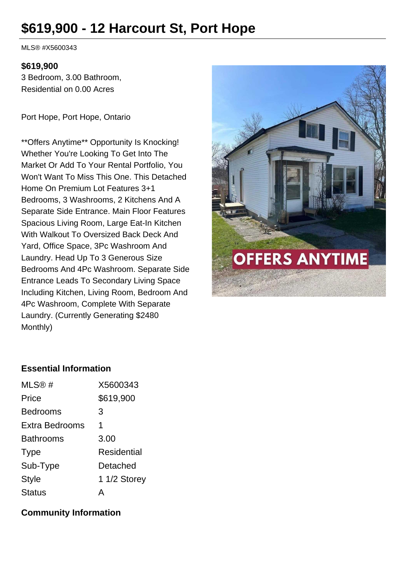# **\$619,900 - 12 Harcourt St, Port Hope**

MLS® #X5600343

#### **\$619,900**

3 Bedroom, 3.00 Bathroom, Residential on 0.00 Acres

Port Hope, Port Hope, Ontario

\*\*Offers Anytime\*\* Opportunity Is Knocking! Whether You're Looking To Get Into The Market Or Add To Your Rental Portfolio, You Won't Want To Miss This One. This Detached Home On Premium Lot Features 3+1 Bedrooms, 3 Washrooms, 2 Kitchens And A Separate Side Entrance. Main Floor Features Spacious Living Room, Large Eat-In Kitchen With Walkout To Oversized Back Deck And Yard, Office Space, 3Pc Washroom And Laundry. Head Up To 3 Generous Size Bedrooms And 4Pc Washroom. Separate Side Entrance Leads To Secondary Living Space Including Kitchen, Living Room, Bedroom And 4Pc Washroom, Complete With Separate Laundry. (Currently Generating \$2480 Monthly)



#### **Essential Information**

| MLS@#            | X5600343     |
|------------------|--------------|
| Price            | \$619,900    |
| <b>Bedrooms</b>  | 3            |
| Extra Bedrooms   | 1            |
| <b>Bathrooms</b> | 3.00         |
| <b>Type</b>      | Residential  |
| Sub-Type         | Detached     |
| <b>Style</b>     | 1 1/2 Storey |
| <b>Status</b>    |              |

#### **Community Information**